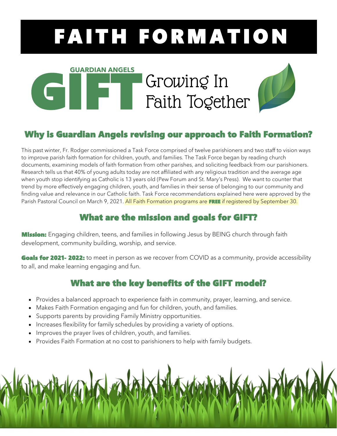# FAITH FORMATION

## GUARDIAN ANGELS<br>GIFT GUARDIAN ANGELS<br>GIFT GUARDIAN ANGELS Growing In Faith Together **GUARDIAN ANGELS**



## Why is Guardian Angels revising our approach to Faith Formation?

This past winter, Fr. Rodger commissioned a Task Force comprised of twelve parishioners and two staff to vision ways to improve parish faith formation for children, youth, and families. The Task Force began by reading church documents, examining models of faith formation from other parishes, and soliciting feedback from our parishioners. Research tells us that 40% of young adults today are not affiliated with any religious tradition and the average age when youth stop identifying as Catholic is 13 years old (Pew Forum and St. Mary's Press). We want to counter that trend by more effectively engaging children, youth, and families in their sense of belonging to our community and finding value and relevance in our Catholic faith. Task Force recommendations explained here were approved by the Parish Pastoral Council on March 9, 2021. All Faith Formation programs are FREE if registered by September 30.

### What are the mission and goals for GIFT?

**Mission:** Engaging children, teens, and families in following Jesus by BEING church through faith development, community building, worship, and service.

Goals for 2021- 2022: to meet in person as we recover from COVID as a community, provide accessibility to all, and make learning engaging and fun.

## What are the key benefits of the GIFT model?

- Provides a balanced approach to experience faith in community, prayer, learning, and service.
- Makes Faith Formation engaging and fun for children, youth, and families.
- Supports parents by providing Family Ministry opportunities.
- Increases flexibility for family schedules by providing a variety of options.
- Improves the prayer lives of children, youth, and families.
- Provides Faith Formation at no cost to parishioners to help with family budgets.